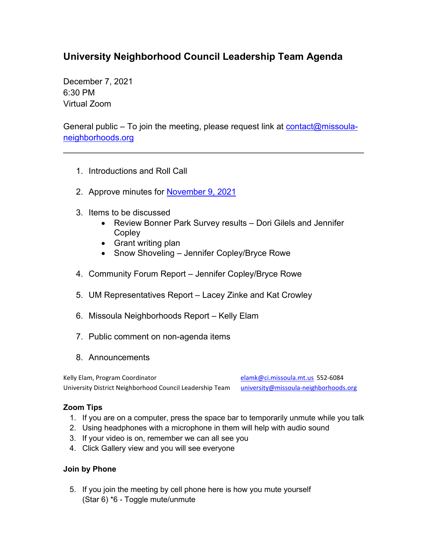## **University Neighborhood Council Leadership Team Agenda**

December 7, 2021 6:30 PM Virtual Zoom

General public – To join the meeting, please request link at  $\frac{\text{contact}(Q\text{missoul}}{q}$ [neighborhoods.org](mailto:contact@missoula-neighborhoods.org)

\_\_\_\_\_\_\_\_\_\_\_\_\_\_\_\_\_\_\_\_\_\_\_\_\_\_\_\_\_\_\_\_\_\_\_\_\_\_\_\_\_\_\_\_\_\_\_\_\_\_\_\_\_\_\_\_\_\_\_\_\_\_\_\_

- 1. Introductions and Roll Call
- 2. Approve minutes for [November](https://www.ci.missoula.mt.us/Archive.aspx?ADID=16410) 9, 2021
- 3. Items to be discussed
	- Review Bonner Park Survey results Dori Gilels and Jennifer **Copley**
	- Grant writing plan
	- Snow Shoveling Jennifer Copley/Bryce Rowe
- 4. Community Forum Report Jennifer Copley/Bryce Rowe
- 5. UM Representatives Report Lacey Zinke and Kat Crowley
- 6. Missoula Neighborhoods Report Kelly Elam
- 7. Public comment on non-agenda items
- 8. Announcements

Kelly Elam, Program Coordinator elamic elamine elaminosis elaminosis elaminosis elaminosis elaminosis elaminos University District Neighborhood Council Leadership Team [university@missoula-neighborhoods.org](mailto:university@missoula-neighborhoods.org)

## **Zoom Tips**

- 1. If you are on a computer, press the space bar to temporarily unmute while you talk
- 2. Using headphones with a microphone in them will help with audio sound
- 3. If your video is on, remember we can all see you
- 4. Click Gallery view and you will see everyone

## **Join by Phone**

5. If you join the meeting by cell phone here is how you mute yourself (Star 6) \*6 - Toggle mute/unmute